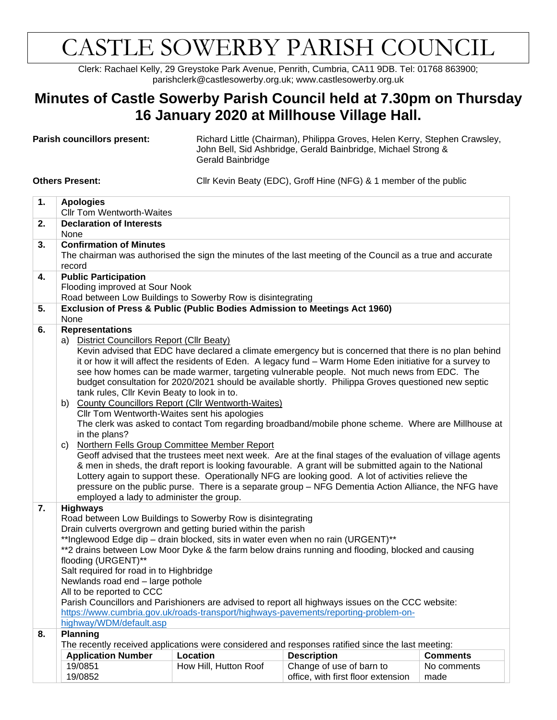## CASTLE SOWERBY PARISH COUNCIL

Clerk: Rachael Kelly, 29 Greystoke Park Avenue, Penrith, Cumbria, CA11 9DB. Tel: 01768 863900; parishclerk@castlesowerby.org.uk; www.castlesowerby.org.uk

## **Minutes of Castle Sowerby Parish Council held at 7.30pm on Thursday 16 January 2020 at Millhouse Village Hall.**

Parish councillors present: Richard Little (Chairman), Philippa Groves, Helen Kerry, Stephen Crawsley, John Bell, Sid Ashbridge, Gerald Bainbridge, Michael Strong & Gerald Bainbridge

**Others Present:** Cllr Kevin Beaty (EDC), Groff Hine (NFG) & 1 member of the public

| 1. | <b>Apologies</b><br><b>Cllr Tom Wentworth-Waites</b>                                                                                                                                                                                                               |                       |                                                                                                            |                 |  |  |  |  |
|----|--------------------------------------------------------------------------------------------------------------------------------------------------------------------------------------------------------------------------------------------------------------------|-----------------------|------------------------------------------------------------------------------------------------------------|-----------------|--|--|--|--|
| 2. | <b>Declaration of Interests</b>                                                                                                                                                                                                                                    |                       |                                                                                                            |                 |  |  |  |  |
|    | None                                                                                                                                                                                                                                                               |                       |                                                                                                            |                 |  |  |  |  |
| 3. | <b>Confirmation of Minutes</b>                                                                                                                                                                                                                                     |                       |                                                                                                            |                 |  |  |  |  |
|    |                                                                                                                                                                                                                                                                    |                       | The chairman was authorised the sign the minutes of the last meeting of the Council as a true and accurate |                 |  |  |  |  |
|    | record                                                                                                                                                                                                                                                             |                       |                                                                                                            |                 |  |  |  |  |
| 4. | <b>Public Participation</b>                                                                                                                                                                                                                                        |                       |                                                                                                            |                 |  |  |  |  |
|    | Flooding improved at Sour Nook                                                                                                                                                                                                                                     |                       |                                                                                                            |                 |  |  |  |  |
|    | Road between Low Buildings to Sowerby Row is disintegrating                                                                                                                                                                                                        |                       |                                                                                                            |                 |  |  |  |  |
| 5. | Exclusion of Press & Public (Public Bodies Admission to Meetings Act 1960)                                                                                                                                                                                         |                       |                                                                                                            |                 |  |  |  |  |
|    | None                                                                                                                                                                                                                                                               |                       |                                                                                                            |                 |  |  |  |  |
| 6. | <b>Representations</b>                                                                                                                                                                                                                                             |                       |                                                                                                            |                 |  |  |  |  |
|    | a) District Councillors Report (Cllr Beaty)<br>Kevin advised that EDC have declared a climate emergency but is concerned that there is no plan behind<br>it or how it will affect the residents of Eden. A legacy fund - Warm Home Eden initiative for a survey to |                       |                                                                                                            |                 |  |  |  |  |
|    |                                                                                                                                                                                                                                                                    |                       |                                                                                                            |                 |  |  |  |  |
|    |                                                                                                                                                                                                                                                                    |                       |                                                                                                            |                 |  |  |  |  |
|    | see how homes can be made warmer, targeting vulnerable people. Not much news from EDC. The                                                                                                                                                                         |                       |                                                                                                            |                 |  |  |  |  |
|    | budget consultation for 2020/2021 should be available shortly. Philippa Groves questioned new septic                                                                                                                                                               |                       |                                                                                                            |                 |  |  |  |  |
|    | tank rules, Cllr Kevin Beaty to look in to.                                                                                                                                                                                                                        |                       |                                                                                                            |                 |  |  |  |  |
|    | <b>County Councillors Report (Cllr Wentworth-Waites)</b><br>b)<br>Cllr Tom Wentworth-Waites sent his apologies                                                                                                                                                     |                       |                                                                                                            |                 |  |  |  |  |
|    |                                                                                                                                                                                                                                                                    |                       | The clerk was asked to contact Tom regarding broadband/mobile phone scheme. Where are Millhouse at         |                 |  |  |  |  |
|    | in the plans?                                                                                                                                                                                                                                                      |                       |                                                                                                            |                 |  |  |  |  |
|    | C)                                                                                                                                                                                                                                                                 |                       |                                                                                                            |                 |  |  |  |  |
|    | Northern Fells Group Committee Member Report<br>Geoff advised that the trustees meet next week. Are at the final stages of the evaluation of village agents                                                                                                        |                       |                                                                                                            |                 |  |  |  |  |
|    | & men in sheds, the draft report is looking favourable. A grant will be submitted again to the National                                                                                                                                                            |                       |                                                                                                            |                 |  |  |  |  |
|    | Lottery again to support these. Operationally NFG are looking good. A lot of activities relieve the                                                                                                                                                                |                       |                                                                                                            |                 |  |  |  |  |
|    |                                                                                                                                                                                                                                                                    |                       | pressure on the public purse. There is a separate group - NFG Dementia Action Alliance, the NFG have       |                 |  |  |  |  |
|    | employed a lady to administer the group.                                                                                                                                                                                                                           |                       |                                                                                                            |                 |  |  |  |  |
| 7. | <b>Highways</b>                                                                                                                                                                                                                                                    |                       |                                                                                                            |                 |  |  |  |  |
|    | Road between Low Buildings to Sowerby Row is disintegrating                                                                                                                                                                                                        |                       |                                                                                                            |                 |  |  |  |  |
|    | Drain culverts overgrown and getting buried within the parish                                                                                                                                                                                                      |                       |                                                                                                            |                 |  |  |  |  |
|    |                                                                                                                                                                                                                                                                    |                       | **Inglewood Edge dip - drain blocked, sits in water even when no rain (URGENT)**                           |                 |  |  |  |  |
|    | **2 drains between Low Moor Dyke & the farm below drains running and flooding, blocked and causing<br>flooding (URGENT)**<br>Salt required for road in to Highbridge                                                                                               |                       |                                                                                                            |                 |  |  |  |  |
|    |                                                                                                                                                                                                                                                                    |                       |                                                                                                            |                 |  |  |  |  |
|    |                                                                                                                                                                                                                                                                    |                       |                                                                                                            |                 |  |  |  |  |
|    | Newlands road end - large pothole                                                                                                                                                                                                                                  |                       |                                                                                                            |                 |  |  |  |  |
|    | All to be reported to CCC                                                                                                                                                                                                                                          |                       |                                                                                                            |                 |  |  |  |  |
|    |                                                                                                                                                                                                                                                                    |                       | Parish Councillors and Parishioners are advised to report all highways issues on the CCC website:          |                 |  |  |  |  |
|    |                                                                                                                                                                                                                                                                    |                       | https://www.cumbria.gov.uk/roads-transport/highways-pavements/reporting-problem-on-                        |                 |  |  |  |  |
|    | highway/WDM/default.asp                                                                                                                                                                                                                                            |                       |                                                                                                            |                 |  |  |  |  |
| 8. | <b>Planning</b><br>The recently received applications were considered and responses ratified since the last meeting:                                                                                                                                               |                       |                                                                                                            |                 |  |  |  |  |
|    |                                                                                                                                                                                                                                                                    |                       |                                                                                                            |                 |  |  |  |  |
|    | <b>Application Number</b>                                                                                                                                                                                                                                          | Location              | <b>Description</b>                                                                                         | <b>Comments</b> |  |  |  |  |
|    | 19/0851<br>19/0852                                                                                                                                                                                                                                                 | How Hill, Hutton Roof | Change of use of barn to                                                                                   | No comments     |  |  |  |  |
|    |                                                                                                                                                                                                                                                                    |                       | office, with first floor extension                                                                         | made            |  |  |  |  |